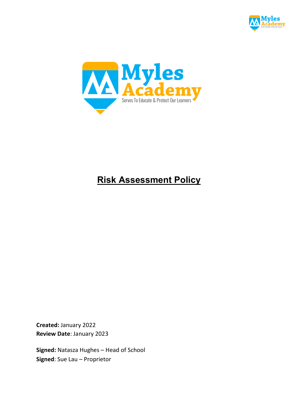



# **Risk Assessment Policy**

**Created:** January 2022 **Review Date**: January 2023

**Signed:** Natasza Hughes – Head of School **Signed**: Sue Lau – Proprietor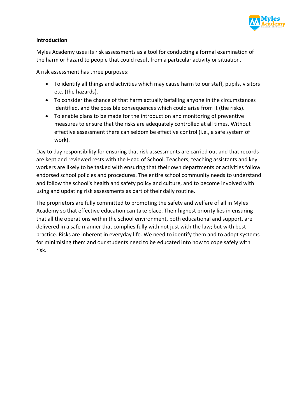

### **Introduction**

Myles Academy uses its risk assessments as a tool for conducting a formal examination of the harm or hazard to people that could result from a particular activity or situation.

A risk assessment has three purposes:

- To identify all things and activities which may cause harm to our staff, pupils, visitors etc. (the hazards).
- To consider the chance of that harm actually befalling anyone in the circumstances identified, and the possible consequences which could arise from it (the risks).
- To enable plans to be made for the introduction and monitoring of preventive measures to ensure that the risks are adequately controlled at all times. Without effective assessment there can seldom be effective control (i.e., a safe system of work).

Day to day responsibility for ensuring that risk assessments are carried out and that records are kept and reviewed rests with the Head of School. Teachers, teaching assistants and key workers are likely to be tasked with ensuring that their own departments or activities follow endorsed school policies and procedures. The entire school community needs to understand and follow the school's health and safety policy and culture, and to become involved with using and updating risk assessments as part of their daily routine.

The proprietors are fully committed to promoting the safety and welfare of all in Myles Academy so that effective education can take place. Their highest priority lies in ensuring that all the operations within the school environment, both educational and support, are delivered in a safe manner that complies fully with not just with the law; but with best practice. Risks are inherent in everyday life. We need to identify them and to adopt systems for minimising them and our students need to be educated into how to cope safely with risk.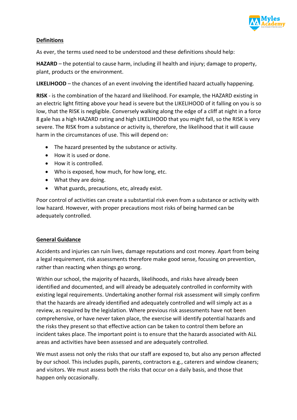

## **Definitions**

As ever, the terms used need to be understood and these definitions should help:

**HAZARD** – the potential to cause harm, including ill health and injury; damage to property, plant, products or the environment.

**LIKELIHOOD** – the chances of an event involving the identified hazard actually happening.

**RISK** - is the combination of the hazard and likelihood. For example, the HAZARD existing in an electric light fitting above your head is severe but the LIKELIHOOD of it falling on you is so low, that the RISK is negligible. Conversely walking along the edge of a cliff at night in a force 8 gale has a high HAZARD rating and high LIKELIHOOD that you might fall, so the RISK is very severe. The RISK from a substance or activity is, therefore, the likelihood that it will cause harm in the circumstances of use. This will depend on:

- The hazard presented by the substance or activity.
- How it is used or done.
- How it is controlled.
- Who is exposed, how much, for how long, etc.
- What they are doing.
- What guards, precautions, etc, already exist.

Poor control of activities can create a substantial risk even from a substance or activity with low hazard. However, with proper precautions most risks of being harmed can be adequately controlled.

### **General Guidance**

Accidents and injuries can ruin lives, damage reputations and cost money. Apart from being a legal requirement, risk assessments therefore make good sense, focusing on prevention, rather than reacting when things go wrong.

Within our school, the majority of hazards, likelihoods, and risks have already been identified and documented, and will already be adequately controlled in conformity with existing legal requirements. Undertaking another formal risk assessment will simply confirm that the hazards are already identified and adequately controlled and will simply act as a review, as required by the legislation. Where previous risk assessments have not been comprehensive, or have never taken place, the exercise will identify potential hazards and the risks they present so that effective action can be taken to control them before an incident takes place. The important point is to ensure that the hazards associated with ALL areas and activities have been assessed and are adequately controlled.

We must assess not only the risks that our staff are exposed to, but also any person affected by our school. This includes pupils, parents, contractors e.g., caterers and window cleaners; and visitors. We must assess both the risks that occur on a daily basis, and those that happen only occasionally.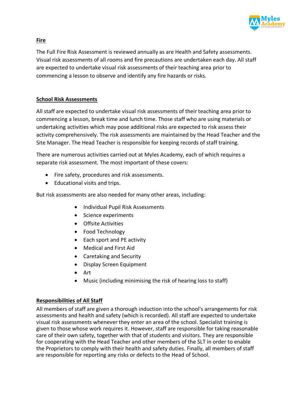

# **Fire**

The Full Fire Risk Assessment is reviewed annually as are Health and Safety assessments. Visual risk assessments of all rooms and fire precautions are undertaken each day. All staff are expected to undertake visual risk assessments of their teaching area prior to commencing a lesson to observe and identify any fire hazards or risks.

# **School Risk Assessments**

All staff are expected to undertake visual risk assessments of their teaching area prior to commencing a lesson, break time and lunch time. Those staff who are using materials or undertaking activities which may pose additional risks are expected to risk assess their activity comprehensively. The risk assessments are maintained by the Head Teacher and the Site Manager. The Head Teacher is responsible for keeping records of staff training.

There are numerous activities carried out at Myles Academy, each of which requires a separate risk assessment. The most important of these covers:

- Fire safety, procedures and risk assessments.
- Educational visits and trips.

But risk assessments are also needed for many other areas, including:

- Individual Pupil Risk Assessments
- Science experiments
- Offsite Activities
- Food Technology
- Each sport and PE activity
- Medical and First Aid
- Caretaking and Security
- Display Screen Equipment
- Art
- Music (including minimising the risk of hearing loss to staff)

# **Responsibilities of All Staff**

All members of staff are given a thorough induction into the school's arrangements for risk assessments and health and safety (which is recorded). All staff are expected to undertake visual risk assessments whenever they enter an area of the school. Specialist training is given to those whose work requires it. However, staff are responsible for taking reasonable care of their own safety, together with that of students and visitors. They are responsible for cooperating with the Head Teacher and other members of the SLT in order to enable the Proprietors to comply with their health and safety duties. Finally, all members of staff are responsible for reporting any risks or defects to the Head of School.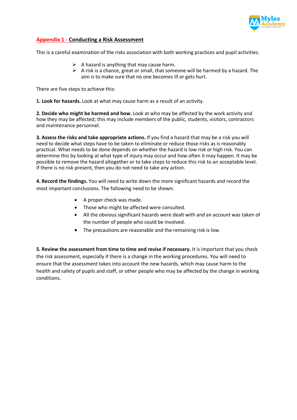

#### **Appendix 1 - Conducting a Risk Assessment**

This is a careful examination of the risks association with both working practices and pupil activities.

- $\triangleright$  A hazard is anything that may cause harm.
- $\triangleright$  A risk is a chance, great or small, that someone will be harmed by a hazard. The aim is to make sure that no one becomes ill or gets hurt.

There are five steps to achieve this:

**1. Look for hazards.** Look at what may cause harm as a result of an activity.

**2. Decide who might be harmed and how.** Look at who may be affected by the work activity and how they may be affected; this may include members of the public, students, visitors, contractors and maintenance personnel.

**3. Assess the risks and take appropriate actions.** If you find a hazard that may be a risk you will need to decide what steps have to be taken to eliminate or reduce those risks as is reasonably practical. What needs to be done depends on whether the hazard is low risk or high risk. You can determine this by looking at what type of injury may occur and how often it may happen. It may be possible to remove the hazard altogether or to take steps to reduce this risk to an acceptable level. If there is no risk present, then you do not need to take any action.

**4. Record the findings.** You will need to write down the more significant hazards and record the most important conclusions. The following need to be shown:

- A proper check was made.
- Those who might be affected were consulted.
- All the obvious significant hazards were dealt with and an account was taken of the number of people who could be involved.
- The precautions are reasonable and the remaining risk is low.

**5. Review the assessment from time to time and revise if necessary.** It is important that you check the risk assessment, especially if there is a change in the working procedures. You will need to ensure that the assessment takes into account the new hazards, which may cause harm to the health and safety of pupils and staff, or other people who may be affected by the change in working conditions.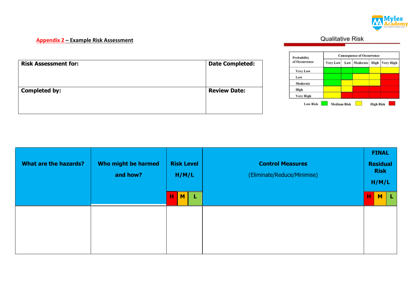

### **Appendix 2 – Example Risk Assessment**

**Qualitative Risk** 

| <b>Risk Assessment for:</b> | <b>Date Completed:</b> |
|-----------------------------|------------------------|
| <b>Completed by:</b>        | <b>Review Date:</b>    |
|                             |                        |



| <b>What are the hazards?</b> | Who might be harmed<br>and how? | <b>Risk Level</b><br>H/M/L | <b>Control Measures</b><br>(Eliminate/Reduce/Minimise) |   | <b>FINAL</b><br><b>Residual</b><br><b>Risk</b><br>H/M/L |     |
|------------------------------|---------------------------------|----------------------------|--------------------------------------------------------|---|---------------------------------------------------------|-----|
|                              |                                 | M <sub>1</sub><br>н<br>L   |                                                        | н | M                                                       | - L |
|                              |                                 |                            |                                                        |   |                                                         |     |